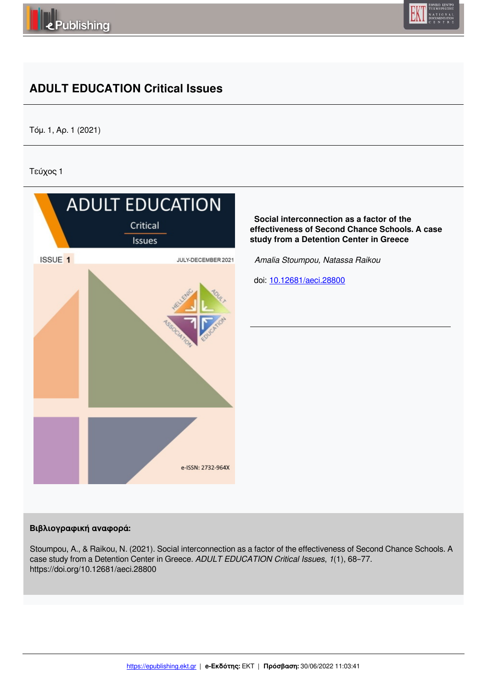



# **ADULT EDUCATION Critical Issues**

Τόμ. 1, Αρ. 1 (2021)

Τεύχος 1



### **Βιβλιογραφική αναφορά:**

Stoumpou, A., & Raikou, N. (2021). Social interconnection as a factor of the effectiveness of Second Chance Schools. A case study from a Detention Center in Greece. *ADULT EDUCATION Critical Issues*, *1*(1), 68–77. https://doi.org/10.12681/aeci.28800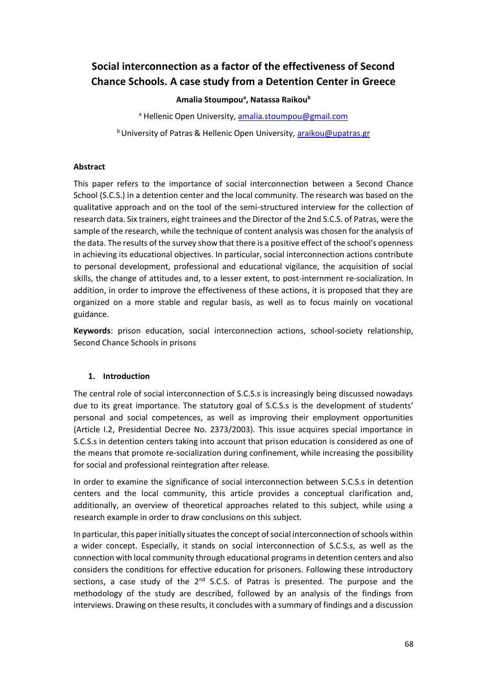# **Social interconnection as a factor of the effectiveness of Second Chance Schools. A case study from a Detention Center in Greece**

**Amalia Stoumpou<sup>a</sup> , Natassa Raikou<sup>b</sup>**

a Hellenic Open University, amalia.stoumpou@gmail.com

**b University of Patras & Hellenic Open University, araikou@upatras.gr** 

#### **Abstract**

This paper refers to the importance of social interconnection between a Second Chance School (S.C.S.) in a detention center and the local community. The research was based on the qualitative approach and on the tool of the semi-structured interview for the collection of research data. Six trainers, eight trainees and the Director of the 2nd S.C.S. of Patras, were the sample of the research, while the technique of content analysis was chosen for the analysis of the data. The results of the survey show that there is a positive effect of the school's openness in achieving its educational objectives. In particular, social interconnection actions contribute to personal development, professional and educational vigilance, the acquisition of social skills, the change of attitudes and, to a lesser extent, to post-internment re-socialization. In addition, in order to improve the effectiveness of these actions, it is proposed that they are organized on a more stable and regular basis, as well as to focus mainly on vocational guidance.

**Keywords**: prison education, social interconnection actions, school-society relationship, Second Chance Schools in prisons

### **1. Introduction**

The central role of social interconnection of S.C.S.s is increasingly being discussed nowadays due to its great importance. The statutory goal of S.C.S.s is the development of students' personal and social competences, as well as improving their employment opportunities (Article Ι.2, Presidential Decree No. 2373/2003). This issue acquires special importance in S.C.S.s in detention centers taking into account that prison education is considered as one of the means that promote re-socialization during confinement, while increasing the possibility for social and professional reintegration after release.

In order to examine the significance of social interconnection between S.C.S.s in detention centers and the local community, this article provides a conceptual clarification and, additionally, an overview of theoretical approaches related to this subject, while using a research example in order to draw conclusions on this subject.

In particular, this paper initially situates the concept of social interconnection of schools within a wider concept. Especially, it stands on social interconnection of S.C.S.s, as well as the connection with local community through educational programs in detention centers and also considers the conditions for effective education for prisoners. Following these introductory sections, a case study of the  $2^{nd}$  S.C.S. of Patras is presented. The purpose and the methodology of the study are described, followed by an analysis of the findings from interviews. Drawing on these results, it concludes with a summary of findings and a discussion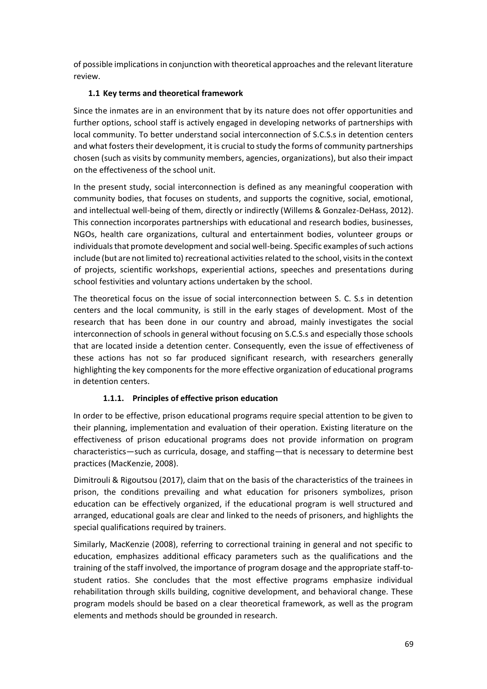of possible implications in conjunction with theoretical approaches and the relevant literature review.

## **1.1 Key terms and theoretical framework**

Since the inmates are in an environment that by its nature does not offer opportunities and further options, school staff is actively engaged in developing networks of partnerships with local community. To better understand social interconnection of S.C.S.s in detention centers and what fosters their development, it is crucial to study the forms of community partnerships chosen (such as visits by community members, agencies, organizations), but also their impact on the effectiveness of the school unit.

In the present study, social interconnection is defined as any meaningful cooperation with community bodies, that focuses on students, and supports the cognitive, social, emotional, and intellectual well-being of them, directly or indirectly (Willems & Gonzalez-DeHass, 2012). This connection incorporates partnerships with educational and research bodies, businesses, NGOs, health care organizations, cultural and entertainment bodies, volunteer groups or individuals that promote development and social well-being. Specific examples of such actions include (but are not limited to) recreational activities related to the school, visits in the context of projects, scientific workshops, experiential actions, speeches and presentations during school festivities and voluntary actions undertaken by the school.

The theoretical focus on the issue of social interconnection between S. C. S.s in detention centers and the local community, is still in the early stages of development. Most of the research that has been done in our country and abroad, mainly investigates the social interconnection of schools in general without focusing on S.C.S.s and especially those schools that are located inside a detention center. Consequently, even the issue of effectiveness of these actions has not so far produced significant research, with researchers generally highlighting the key components for the more effective organization of educational programs in detention centers.

## **1.1.1. Principles of effective prison education**

In order to be effective, prison educational programs require special attention to be given to their planning, implementation and evaluation of their operation. Existing literature on the effectiveness of prison educational programs does not provide information on program characteristics—such as curricula, dosage, and staffing—that is necessary to determine best practices (MacKenzie, 2008).

Dimitrouli & Rigoutsou (2017), claim that on the basis of the characteristics of the trainees in prison, the conditions prevailing and what education for prisoners symbolizes, prison education can be effectively organized, if the educational program is well structured and arranged, educational goals are clear and linked to the needs of prisoners, and highlights the special qualifications required by trainers.

Similarly, MacKenzie (2008), referring to correctional training in general and not specific to education, emphasizes additional efficacy parameters such as the qualifications and the training of the staff involved, the importance of program dosage and the appropriate staff-tostudent ratios. She concludes that the most effective programs emphasize individual rehabilitation through skills building, cognitive development, and behavioral change. These program models should be based on a clear theoretical framework, as well as the program elements and methods should be grounded in research.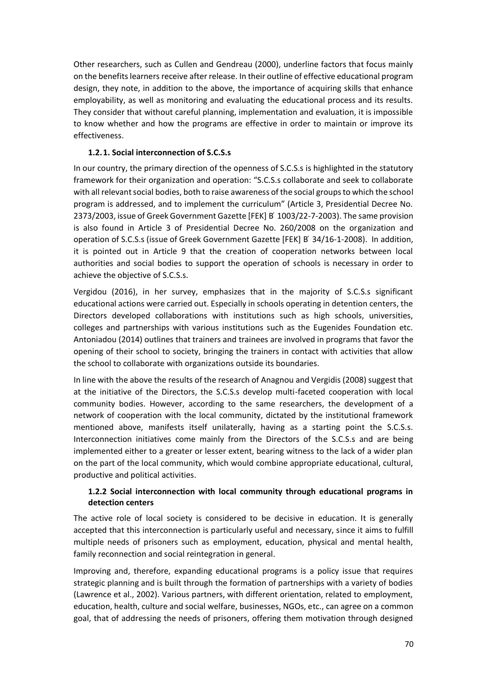Other researchers, such as Cullen and Gendreau (2000), underline factors that focus mainly on the benefits learners receive after release. In their outline of effective educational program design, they note, in addition to the above, the importance of acquiring skills that enhance employability, as well as monitoring and evaluating the educational process and its results. They consider that without careful planning, implementation and evaluation, it is impossible to know whether and how the programs are effective in order to maintain or improve its effectiveness.

#### **1.2.1. Social interconnection of S.C.S.s**

In our country, the primary direction of the openness of S.C.S.s is highlighted in the statutory framework for their organization and operation: "S.C.S.s collaborate and seek to collaborate with all relevant social bodies, both to raise awareness of the social groups to which the school program is addressed, and to implement the curriculum" (Article 3, Presidential Decree No. 2373/2003, issue of Greek Government Gazette [FEK] Β ́1003/22-7-2003). The same provision is also found in Article 3 of Presidential Decree No. 260/2008 on the organization and operation of S.C.S.s (issue of Greek Government Gazette [FEK] Β ́34/16-1-2008). In addition, it is pointed out in Article 9 that the creation of cooperation networks between local authorities and social bodies to support the operation of schools is necessary in order to achieve the objective of S.C.S.s.

Vergidou (2016), in her survey, emphasizes that in the majority of S.C.S.s significant educational actions were carried out. Especially in schools operating in detention centers, the Directors developed collaborations with institutions such as high schools, universities, colleges and partnerships with various institutions such as the Eugenides Foundation etc. Antoniadou (2014) outlines that trainers and trainees are involved in programs that favor the opening of their school to society, bringing the trainers in contact with activities that allow the school to collaborate with organizations outside its boundaries.

In line with the above the results of the research of Anagnou and Vergidis (2008) suggest that at the initiative of the Directors, the S.C.S.s develop multi-faceted cooperation with local community bodies. However, according to the same researchers, the development of a network of cooperation with the local community, dictated by the institutional framework mentioned above, manifests itself unilaterally, having as a starting point the S.C.S.s. Interconnection initiatives come mainly from the Directors of the S.C.S.s and are being implemented either to a greater or lesser extent, bearing witness to the lack of a wider plan on the part of the local community, which would combine appropriate educational, cultural, productive and political activities.

### **1.2.2 Social interconnection with local community through educational programs in detection centers**

The active role of local society is considered to be decisive in education. It is generally accepted that this interconnection is particularly useful and necessary, since it aims to fulfill multiple needs of prisoners such as employment, education, physical and mental health, family reconnection and social reintegration in general.

Improving and, therefore, expanding educational programs is a policy issue that requires strategic planning and is built through the formation of partnerships with a variety of bodies (Lawrence et al., 2002). Various partners, with different orientation, related to employment, education, health, culture and social welfare, businesses, NGOs, etc., can agree on a common goal, that of addressing the needs of prisoners, offering them motivation through designed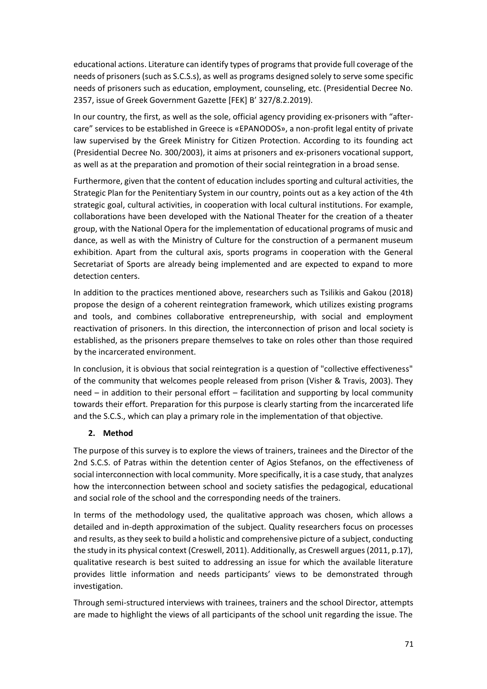educational actions. Literature can identify types of programs that provide full coverage of the needs of prisoners (such as S.C.S.s), as well as programs designed solely to serve some specific needs of prisoners such as education, employment, counseling, etc. (Presidential Decree No. 2357, issue of Greek Government Gazette [FEK] Β' 327/8.2.2019).

In our country, the first, as well as the sole, official agency providing ex-prisoners with "aftercare" services to be established in Greece is «EPANODOS», a non-profit legal entity of private law supervised by the Greek Ministry for Citizen Protection. According to its founding act (Presidential Decree No. 300/2003), it aims at prisoners and ex-prisoners vocational support, as well as at the preparation and promotion of their social reintegration in a broad sense.

Furthermore, given that the content of education includes sporting and cultural activities, the Strategic Plan for the Penitentiary System in our country, points out as a key action of the 4th strategic goal, cultural activities, in cooperation with local cultural institutions. For example, collaborations have been developed with the National Theater for the creation of a theater group, with the National Opera for the implementation of educational programs of music and dance, as well as with the Ministry of Culture for the construction of a permanent museum exhibition. Apart from the cultural axis, sports programs in cooperation with the General Secretariat of Sports are already being implemented and are expected to expand to more detection centers.

In addition to the practices mentioned above, researchers such as Tsilikis and Gakou (2018) propose the design of a coherent reintegration framework, which utilizes existing programs and tools, and combines collaborative entrepreneurship, with social and employment reactivation of prisoners. In this direction, the interconnection of prison and local society is established, as the prisoners prepare themselves to take on roles other than those required by the incarcerated environment.

In conclusion, it is obvious that social reintegration is a question of "collective effectiveness" of the community that welcomes people released from prison (Visher & Travis, 2003). They need – in addition to their personal effort – facilitation and supporting by local community towards their effort. Preparation for this purpose is clearly starting from the incarcerated life and the S.C.S., which can play a primary role in the implementation of that objective.

### **2. Method**

The purpose of this survey is to explore the views of trainers, trainees and the Director of the 2nd S.C.S. of Patras within the detention center of Agios Stefanos, on the effectiveness of social interconnection with local community. More specifically, it is a case study, that analyzes how the interconnection between school and society satisfies the pedagogical, educational and social role of the school and the corresponding needs of the trainers.

In terms of the methodology used, the qualitative approach was chosen, which allows a detailed and in-depth approximation of the subject. Quality researchers focus on processes and results, as they seek to build a holistic and comprehensive picture of a subject, conducting the study in its physical context (Creswell, 2011). Additionally, as Creswell argues (2011, p.17), qualitative research is best suited to addressing an issue for which the available literature provides little information and needs participants' views to be demonstrated through investigation.

Through semi-structured interviews with trainees, trainers and the school Director, attempts are made to highlight the views of all participants of the school unit regarding the issue. The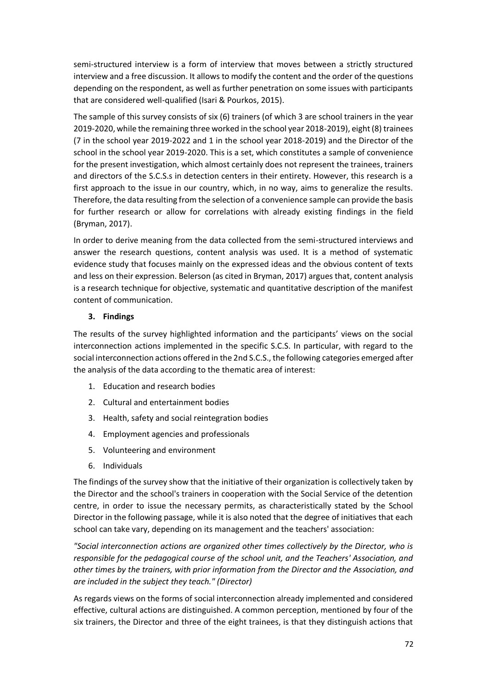semi-structured interview is a form of interview that moves between a strictly structured interview and a free discussion. It allows to modify the content and the order of the questions depending on the respondent, as well as further penetration on some issues with participants that are considered well-qualified (Isari & Pourkos, 2015).

The sample of this survey consists of six (6) trainers (of which 3 are school trainers in the year 2019-2020, while the remaining three worked in the school year 2018-2019), eight (8) trainees (7 in the school year 2019-2022 and 1 in the school year 2018-2019) and the Director of the school in the school year 2019-2020. This is a set, which constitutes a sample of convenience for the present investigation, which almost certainly does not represent the trainees, trainers and directors of the S.C.S.s in detection centers in their entirety. However, this research is a first approach to the issue in our country, which, in no way, aims to generalize the results. Therefore, the data resulting from the selection of a convenience sample can provide the basis for further research or allow for correlations with already existing findings in the field (Bryman, 2017).

In order to derive meaning from the data collected from the semi-structured interviews and answer the research questions, content analysis was used. It is a method of systematic evidence study that focuses mainly on the expressed ideas and the obvious content of texts and less on their expression. Belerson (as cited in Bryman, 2017) argues that, content analysis is a research technique for objective, systematic and quantitative description of the manifest content of communication.

### **3. Findings**

The results of the survey highlighted information and the participants' views on the social interconnection actions implemented in the specific S.C.S. In particular, with regard to the social interconnection actions offered in the 2nd S.C.S., the following categories emerged after the analysis of the data according to the thematic area of interest:

- 1. Education and research bodies
- 2. Cultural and entertainment bodies
- 3. Health, safety and social reintegration bodies
- 4. Employment agencies and professionals
- 5. Volunteering and environment
- 6. Individuals

The findings of the survey show that the initiative of their organization is collectively taken by the Director and the school's trainers in cooperation with the Social Service of the detention centre, in order to issue the necessary permits, as characteristically stated by the School Director in the following passage, while it is also noted that the degree of initiatives that each school can take vary, depending on its management and the teachers' association:

*"Social interconnection actions are organized other times collectively by the Director, who is responsible for the pedagogical course of the school unit, and the Teachers' Association, and other times by the trainers, with prior information from the Director and the Association, and are included in the subject they teach." (Director)*

As regards views on the forms of social interconnection already implemented and considered effective, cultural actions are distinguished. A common perception, mentioned by four of the six trainers, the Director and three of the eight trainees, is that they distinguish actions that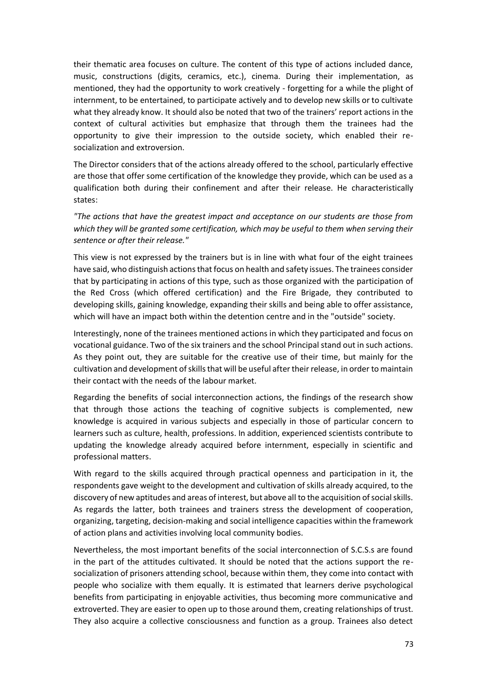their thematic area focuses on culture. The content of this type of actions included dance, music, constructions (digits, ceramics, etc.), cinema. During their implementation, as mentioned, they had the opportunity to work creatively - forgetting for a while the plight of internment, to be entertained, to participate actively and to develop new skills or to cultivate what they already know. It should also be noted that two of the trainers' report actions in the context of cultural activities but emphasize that through them the trainees had the opportunity to give their impression to the outside society, which enabled their resocialization and extroversion.

The Director considers that of the actions already offered to the school, particularly effective are those that offer some certification of the knowledge they provide, which can be used as a qualification both during their confinement and after their release. He characteristically states:

*"The actions that have the greatest impact and acceptance on our students are those from which they will be granted some certification, which may be useful to them when serving their sentence or after their release."*

This view is not expressed by the trainers but is in line with what four of the eight trainees have said, who distinguish actions that focus on health and safety issues. The trainees consider that by participating in actions of this type, such as those organized with the participation of the Red Cross (which offered certification) and the Fire Brigade, they contributed to developing skills, gaining knowledge, expanding their skills and being able to offer assistance, which will have an impact both within the detention centre and in the "outside" society.

Interestingly, none of the trainees mentioned actions in which they participated and focus on vocational guidance. Two of the six trainers and the school Principal stand out in such actions. As they point out, they are suitable for the creative use of their time, but mainly for the cultivation and development of skills that will be useful after their release, in order to maintain their contact with the needs of the labour market.

Regarding the benefits of social interconnection actions, the findings of the research show that through those actions the teaching of cognitive subjects is complemented, new knowledge is acquired in various subjects and especially in those of particular concern to learners such as culture, health, professions. In addition, experienced scientists contribute to updating the knowledge already acquired before internment, especially in scientific and professional matters.

With regard to the skills acquired through practical openness and participation in it, the respondents gave weight to the development and cultivation of skills already acquired, to the discovery of new aptitudes and areas of interest, but above all to the acquisition of social skills. As regards the latter, both trainees and trainers stress the development of cooperation, organizing, targeting, decision-making and social intelligence capacities within the framework of action plans and activities involving local community bodies.

Nevertheless, the most important benefits of the social interconnection of S.C.S.s are found in the part of the attitudes cultivated. It should be noted that the actions support the resocialization of prisoners attending school, because within them, they come into contact with people who socialize with them equally. It is estimated that learners derive psychological benefits from participating in enjoyable activities, thus becoming more communicative and extroverted. They are easier to open up to those around them, creating relationships of trust. They also acquire a collective consciousness and function as a group. Trainees also detect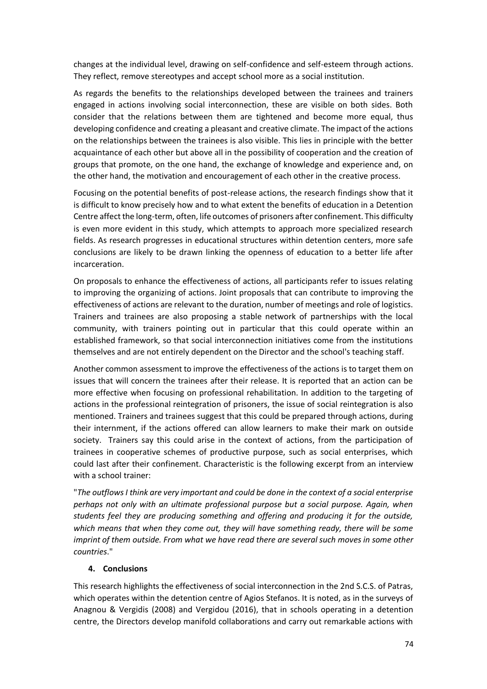changes at the individual level, drawing on self-confidence and self-esteem through actions. They reflect, remove stereotypes and accept school more as a social institution.

As regards the benefits to the relationships developed between the trainees and trainers engaged in actions involving social interconnection, these are visible on both sides. Both consider that the relations between them are tightened and become more equal, thus developing confidence and creating a pleasant and creative climate. The impact of the actions on the relationships between the trainees is also visible. This lies in principle with the better acquaintance of each other but above all in the possibility of cooperation and the creation of groups that promote, on the one hand, the exchange of knowledge and experience and, on the other hand, the motivation and encouragement of each other in the creative process.

Focusing on the potential benefits of post-release actions, the research findings show that it is difficult to know precisely how and to what extent the benefits of education in a Detention Centre affect the long-term, often, life outcomes of prisoners after confinement. This difficulty is even more evident in this study, which attempts to approach more specialized research fields. As research progresses in educational structures within detention centers, more safe conclusions are likely to be drawn linking the openness of education to a better life after incarceration.

On proposals to enhance the effectiveness of actions, all participants refer to issues relating to improving the organizing of actions. Joint proposals that can contribute to improving the effectiveness of actions are relevant to the duration, number of meetings and role of logistics. Trainers and trainees are also proposing a stable network of partnerships with the local community, with trainers pointing out in particular that this could operate within an established framework, so that social interconnection initiatives come from the institutions themselves and are not entirely dependent on the Director and the school's teaching staff.

Another common assessment to improve the effectiveness of the actions is to target them on issues that will concern the trainees after their release. It is reported that an action can be more effective when focusing on professional rehabilitation. In addition to the targeting of actions in the professional reintegration of prisoners, the issue of social reintegration is also mentioned. Trainers and trainees suggest that this could be prepared through actions, during their internment, if the actions offered can allow learners to make their mark on outside society. Trainers say this could arise in the context of actions, from the participation of trainees in cooperative schemes of productive purpose, such as social enterprises, which could last after their confinement. Characteristic is the following excerpt from an interview with a school trainer:

"*The outflows I think are very important and could be done in the context of a social enterprise perhaps not only with an ultimate professional purpose but a social purpose. Again, when students feel they are producing something and offering and producing it for the outside, which means that when they come out, they will have something ready, there will be some imprint of them outside. From what we have read there are several such moves in some other countries*."

#### **4. Conclusions**

This research highlights the effectiveness of social interconnection in the 2nd S.C.S. of Patras, which operates within the detention centre of Agios Stefanos. It is noted, as in the surveys of Anagnou & Vergidis (2008) and Vergidou (2016), that in schools operating in a detention centre, the Directors develop manifold collaborations and carry out remarkable actions with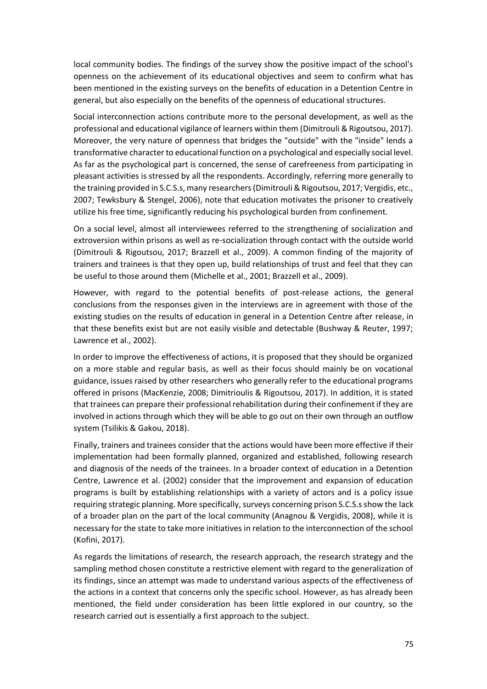local community bodies. The findings of the survey show the positive impact of the school's openness on the achievement of its educational objectives and seem to confirm what has been mentioned in the existing surveys on the benefits of education in a Detention Centre in general, but also especially on the benefits of the openness of educational structures.

Social interconnection actions contribute more to the personal development, as well as the professional and educational vigilance of learners within them (Dimitrouli & Rigoutsou, 2017). Moreover, the very nature of openness that bridges the "outside" with the "inside" lends a transformative character to educational function on a psychological and especially social level. As far as the psychological part is concerned, the sense of carefreeness from participating in pleasant activities is stressed by all the respondents. Accordingly, referring more generally to the training provided in S.C.S.s, many researchers (Dimitrouli & Rigoutsou, 2017; Vergidis, etc., 2007; Tewksbury & Stengel, 2006), note that education motivates the prisoner to creatively utilize his free time, significantly reducing his psychological burden from confinement.

On a social level, almost all interviewees referred to the strengthening of socialization and extroversion within prisons as well as re-socialization through contact with the outside world (Dimitrouli & Rigoutsou, 2017; Brazzell et al., 2009). A common finding of the majority of trainers and trainees is that they open up, build relationships of trust and feel that they can be useful to those around them (Michelle et al., 2001; Brazzell et al., 2009).

However, with regard to the potential benefits of post-release actions, the general conclusions from the responses given in the interviews are in agreement with those of the existing studies on the results of education in general in a Detention Centre after release, in that these benefits exist but are not easily visible and detectable (Bushway & Reuter, 1997; Lawrence et al., 2002).

In order to improve the effectiveness of actions, it is proposed that they should be organized on a more stable and regular basis, as well as their focus should mainly be on vocational guidance, issues raised by other researchers who generally refer to the educational programs offered in prisons (MacKenzie, 2008; Dimitrioulis & Rigoutsou, 2017). In addition, it is stated that trainees can prepare their professional rehabilitation during their confinement if they are involved in actions through which they will be able to go out on their own through an outflow system (Tsilikis & Gakou, 2018).

Finally, trainers and trainees consider that the actions would have been more effective if their implementation had been formally planned, organized and established, following research and diagnosis of the needs of the trainees. In a broader context of education in a Detention Centre, Lawrence et al. (2002) consider that the improvement and expansion of education programs is built by establishing relationships with a variety of actors and is a policy issue requiring strategic planning. More specifically, surveys concerning prison S.C.S.s show the lack of a broader plan on the part of the local community (Anagnou & Vergidis, 2008), while it is necessary for the state to take more initiatives in relation to the interconnection of the school (Kofini, 2017).

As regards the limitations of research, the research approach, the research strategy and the sampling method chosen constitute a restrictive element with regard to the generalization of its findings, since an attempt was made to understand various aspects of the effectiveness of the actions in a context that concerns only the specific school. However, as has already been mentioned, the field under consideration has been little explored in our country, so the research carried out is essentially a first approach to the subject.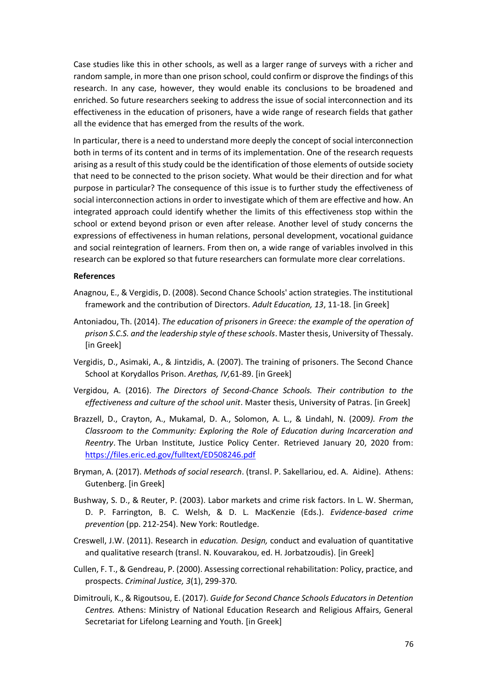Case studies like this in other schools, as well as a larger range of surveys with a richer and random sample, in more than one prison school, could confirm or disprove the findings of this research. In any case, however, they would enable its conclusions to be broadened and enriched. So future researchers seeking to address the issue of social interconnection and its effectiveness in the education of prisoners, have a wide range of research fields that gather all the evidence that has emerged from the results of the work.

In particular, there is a need to understand more deeply the concept of social interconnection both in terms of its content and in terms of its implementation. One of the research requests arising as a result of this study could be the identification of those elements of outside society that need to be connected to the prison society. What would be their direction and for what purpose in particular? The consequence of this issue is to further study the effectiveness of social interconnection actions in order to investigate which of them are effective and how. An integrated approach could identify whether the limits of this effectiveness stop within the school or extend beyond prison or even after release. Another level of study concerns the expressions of effectiveness in human relations, personal development, vocational guidance and social reintegration of learners. From then on, a wide range of variables involved in this research can be explored so that future researchers can formulate more clear correlations.

#### **References**

- Anagnou, E., & Vergidis, D. (2008). Second Chance Schools' action strategies. The institutional framework and the contribution of Directors. *Adult Education, 13*, 11-18. [in Greek]
- Antoniadou, Th. (2014). *The education of prisoners in Greece: the example of the operation of prison S.C.S. and the leadership style of these schools*. Master thesis, University of Thessaly. [in Greek]
- Vergidis, D., Asimaki, A., & Jintzidis, A. (2007). The training of prisoners. The Second Chance School at Korydallos Prison. *Arethas, IV,*61-89. [in Greek]
- Vergidou, A. (2016). *The Directors of Second-Chance Schools. Their contribution to the effectiveness and culture of the school unit*. Master thesis, University of Patras. [in Greek]
- Brazzell, D., Crayton, A., Mukamal, D. A., Solomon, A. L., & Lindahl, N. (2009*). From the Classroom to the Community: Exploring the Role of Education during Incarceration and Reentry*. The Urban Institute, Justice Policy Center. Retrieved January 20, 2020 from: https://files.eric.ed.gov/fulltext/ED508246.pdf
- Bryman, A. (2017). *Methods of social research*. (transl. P. Sakellariou, ed. A. Aidine). Athens: Gutenberg. [in Greek]
- Bushway, S. D., & Reuter, P. (2003). Labor markets and crime risk factors. In L. W. Sherman, D. P. Farrington, B. C. Welsh, & D. L. MacKenzie (Eds.). *Evidence-based crime prevention* (pp. 212-254). New York: Routledge.
- Creswell, J.W. (2011). Research in *education. Design,* conduct and evaluation of quantitative and qualitative research (transl. N. Kouvarakou, ed. H. Jorbatzoudis). [in Greek]
- Cullen, F. T., & Gendreau, P. (2000). Assessing correctional rehabilitation: Policy, practice, and prospects. *Criminal Justice, 3*(1), 299-370*.*
- Dimitrouli, K., & Rigoutsou, E. (2017). *Guide for Second Chance Schools Educators in Detention Centres.* Athens: Ministry of National Education Research and Religious Affairs, General Secretariat for Lifelong Learning and Youth. [in Greek]